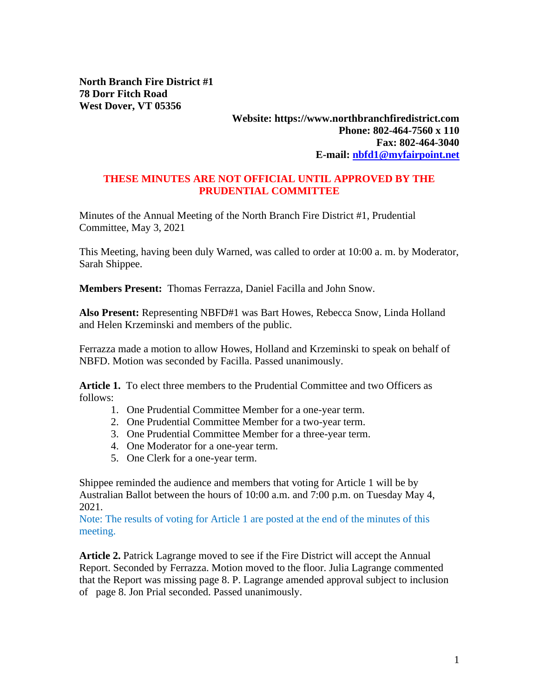**North Branch Fire District #1 78 Dorr Fitch Road West Dover, VT 05356**

## **Website: https://www.northbranchfiredistrict.com Phone: 802-464-7560 x 110 Fax: 802-464-3040 E-mail: [nbfd1@myfairpoint.net](mailto:nbfd1@myfairpoint.net)**

## **THESE MINUTES ARE NOT OFFICIAL UNTIL APPROVED BY THE PRUDENTIAL COMMITTEE**

Minutes of the Annual Meeting of the North Branch Fire District #1, Prudential Committee, May 3, 2021

This Meeting, having been duly Warned, was called to order at 10:00 a. m. by Moderator, Sarah Shippee.

**Members Present:** Thomas Ferrazza, Daniel Facilla and John Snow.

**Also Present:** Representing NBFD#1 was Bart Howes, Rebecca Snow, Linda Holland and Helen Krzeminski and members of the public.

Ferrazza made a motion to allow Howes, Holland and Krzeminski to speak on behalf of NBFD. Motion was seconded by Facilla. Passed unanimously.

**Article 1.** To elect three members to the Prudential Committee and two Officers as follows:

- 1. One Prudential Committee Member for a one-year term.
- 2. One Prudential Committee Member for a two-year term.
- 3. One Prudential Committee Member for a three-year term.
- 4. One Moderator for a one-year term.
- 5. One Clerk for a one-year term.

Shippee reminded the audience and members that voting for Article 1 will be by Australian Ballot between the hours of 10:00 a.m. and 7:00 p.m. on Tuesday May 4, 2021.

Note: The results of voting for Article 1 are posted at the end of the minutes of this meeting.

**Article 2.** Patrick Lagrange moved to see if the Fire District will accept the Annual Report. Seconded by Ferrazza. Motion moved to the floor. Julia Lagrange commented that the Report was missing page 8. P. Lagrange amended approval subject to inclusion of page 8. Jon Prial seconded. Passed unanimously.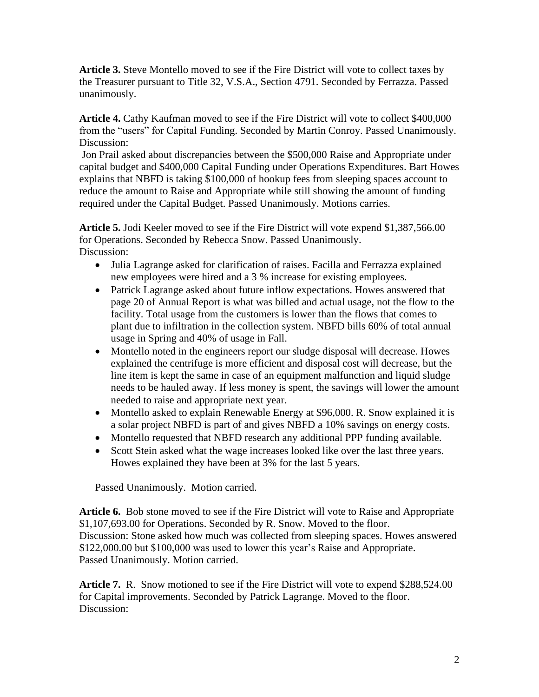**Article 3.** Steve Montello moved to see if the Fire District will vote to collect taxes by the Treasurer pursuant to Title 32, V.S.A., Section 4791. Seconded by Ferrazza. Passed unanimously.

**Article 4.** Cathy Kaufman moved to see if the Fire District will vote to collect \$400,000 from the "users" for Capital Funding. Seconded by Martin Conroy. Passed Unanimously. Discussion:

Jon Prail asked about discrepancies between the \$500,000 Raise and Appropriate under capital budget and \$400,000 Capital Funding under Operations Expenditures. Bart Howes explains that NBFD is taking \$100,000 of hookup fees from sleeping spaces account to reduce the amount to Raise and Appropriate while still showing the amount of funding required under the Capital Budget. Passed Unanimously. Motions carries.

**Article 5.** Jodi Keeler moved to see if the Fire District will vote expend \$1,387,566.00 for Operations. Seconded by Rebecca Snow. Passed Unanimously. Discussion:

- Julia Lagrange asked for clarification of raises. Facilla and Ferrazza explained new employees were hired and a 3 % increase for existing employees.
- Patrick Lagrange asked about future inflow expectations. Howes answered that page 20 of Annual Report is what was billed and actual usage, not the flow to the facility. Total usage from the customers is lower than the flows that comes to plant due to infiltration in the collection system. NBFD bills 60% of total annual usage in Spring and 40% of usage in Fall.
- Montello noted in the engineers report our sludge disposal will decrease. Howes explained the centrifuge is more efficient and disposal cost will decrease, but the line item is kept the same in case of an equipment malfunction and liquid sludge needs to be hauled away. If less money is spent, the savings will lower the amount needed to raise and appropriate next year.
- Montello asked to explain Renewable Energy at \$96,000. R. Snow explained it is a solar project NBFD is part of and gives NBFD a 10% savings on energy costs.
- Montello requested that NBFD research any additional PPP funding available.
- Scott Stein asked what the wage increases looked like over the last three years. Howes explained they have been at 3% for the last 5 years.

Passed Unanimously. Motion carried.

**Article 6.** Bob stone moved to see if the Fire District will vote to Raise and Appropriate \$1,107,693.00 for Operations. Seconded by R. Snow. Moved to the floor. Discussion: Stone asked how much was collected from sleeping spaces. Howes answered \$122,000.00 but \$100,000 was used to lower this year's Raise and Appropriate. Passed Unanimously. Motion carried.

**Article 7.** R. Snow motioned to see if the Fire District will vote to expend \$288,524.00 for Capital improvements. Seconded by Patrick Lagrange. Moved to the floor. Discussion: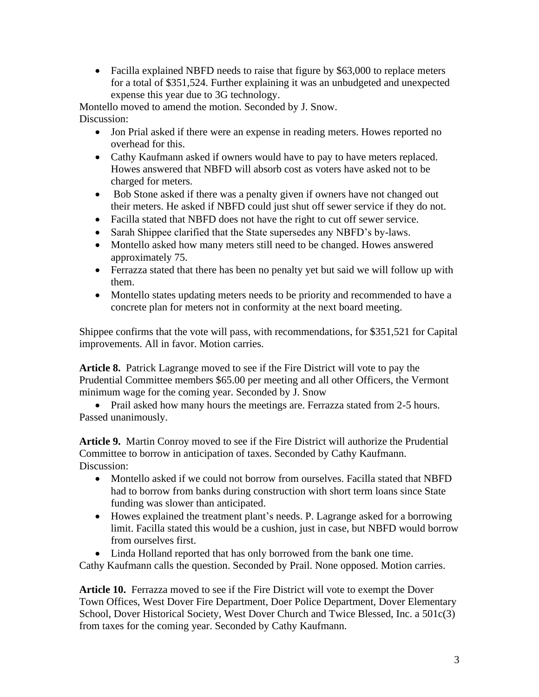• Facilla explained NBFD needs to raise that figure by \$63,000 to replace meters for a total of \$351,524. Further explaining it was an unbudgeted and unexpected expense this year due to 3G technology.

Montello moved to amend the motion. Seconded by J. Snow. Discussion:

- Jon Prial asked if there were an expense in reading meters. Howes reported no overhead for this.
- Cathy Kaufmann asked if owners would have to pay to have meters replaced. Howes answered that NBFD will absorb cost as voters have asked not to be charged for meters.
- Bob Stone asked if there was a penalty given if owners have not changed out their meters. He asked if NBFD could just shut off sewer service if they do not.
- Facilla stated that NBFD does not have the right to cut off sewer service.
- Sarah Shippee clarified that the State supersedes any NBFD's by-laws.
- Montello asked how many meters still need to be changed. Howes answered approximately 75.
- Ferrazza stated that there has been no penalty yet but said we will follow up with them.
- Montello states updating meters needs to be priority and recommended to have a concrete plan for meters not in conformity at the next board meeting.

Shippee confirms that the vote will pass, with recommendations, for \$351,521 for Capital improvements. All in favor. Motion carries.

**Article 8.** Patrick Lagrange moved to see if the Fire District will vote to pay the Prudential Committee members \$65.00 per meeting and all other Officers, the Vermont minimum wage for the coming year. Seconded by J. Snow

• Prail asked how many hours the meetings are. Ferrazza stated from 2-5 hours. Passed unanimously.

**Article 9.** Martin Conroy moved to see if the Fire District will authorize the Prudential Committee to borrow in anticipation of taxes. Seconded by Cathy Kaufmann. Discussion:

- Montello asked if we could not borrow from ourselves. Facilla stated that NBFD had to borrow from banks during construction with short term loans since State funding was slower than anticipated.
- Howes explained the treatment plant's needs. P. Lagrange asked for a borrowing limit. Facilla stated this would be a cushion, just in case, but NBFD would borrow from ourselves first.
- Linda Holland reported that has only borrowed from the bank one time.

Cathy Kaufmann calls the question. Seconded by Prail. None opposed. Motion carries.

**Article 10.** Ferrazza moved to see if the Fire District will vote to exempt the Dover Town Offices, West Dover Fire Department, Doer Police Department, Dover Elementary School, Dover Historical Society, West Dover Church and Twice Blessed, Inc. a 501c(3) from taxes for the coming year. Seconded by Cathy Kaufmann.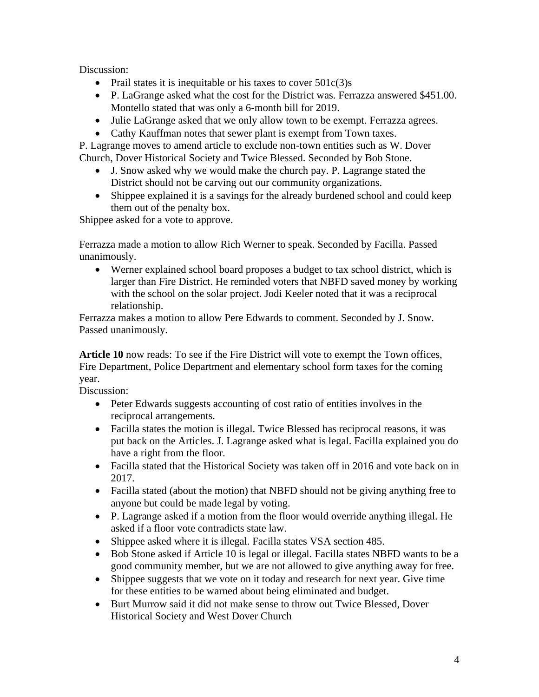Discussion:

- Prail states it is inequitable or his taxes to cover  $501c(3)s$
- P. LaGrange asked what the cost for the District was. Ferrazza answered \$451.00. Montello stated that was only a 6-month bill for 2019.
- Julie LaGrange asked that we only allow town to be exempt. Ferrazza agrees.
- Cathy Kauffman notes that sewer plant is exempt from Town taxes.

P. Lagrange moves to amend article to exclude non-town entities such as W. Dover Church, Dover Historical Society and Twice Blessed. Seconded by Bob Stone.

- J. Snow asked why we would make the church pay. P. Lagrange stated the District should not be carving out our community organizations.
- Shippee explained it is a savings for the already burdened school and could keep them out of the penalty box.

Shippee asked for a vote to approve.

Ferrazza made a motion to allow Rich Werner to speak. Seconded by Facilla. Passed unanimously.

• Werner explained school board proposes a budget to tax school district, which is larger than Fire District. He reminded voters that NBFD saved money by working with the school on the solar project. Jodi Keeler noted that it was a reciprocal relationship.

Ferrazza makes a motion to allow Pere Edwards to comment. Seconded by J. Snow. Passed unanimously.

**Article 10** now reads: To see if the Fire District will vote to exempt the Town offices, Fire Department, Police Department and elementary school form taxes for the coming year.

Discussion:

- Peter Edwards suggests accounting of cost ratio of entities involves in the reciprocal arrangements.
- Facilla states the motion is illegal. Twice Blessed has reciprocal reasons, it was put back on the Articles. J. Lagrange asked what is legal. Facilla explained you do have a right from the floor.
- Facilla stated that the Historical Society was taken off in 2016 and vote back on in 2017.
- Facilla stated (about the motion) that NBFD should not be giving anything free to anyone but could be made legal by voting.
- P. Lagrange asked if a motion from the floor would override anything illegal. He asked if a floor vote contradicts state law.
- Shippee asked where it is illegal. Facilla states VSA section 485.
- Bob Stone asked if Article 10 is legal or illegal. Facilla states NBFD wants to be a good community member, but we are not allowed to give anything away for free.
- Shippee suggests that we vote on it today and research for next year. Give time for these entities to be warned about being eliminated and budget.
- Burt Murrow said it did not make sense to throw out Twice Blessed, Dover Historical Society and West Dover Church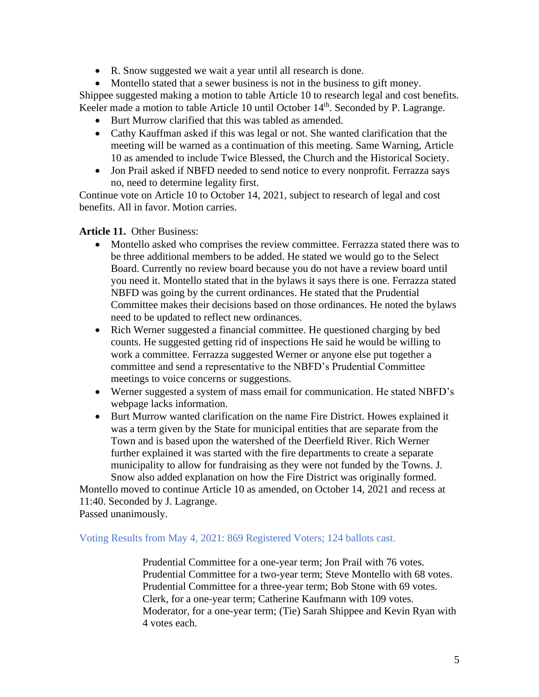• R. Snow suggested we wait a year until all research is done.

• Montello stated that a sewer business is not in the business to gift money. Shippee suggested making a motion to table Article 10 to research legal and cost benefits. Keeler made a motion to table Article 10 until October 14<sup>th</sup>. Seconded by P. Lagrange.

- Burt Murrow clarified that this was tabled as amended.
- Cathy Kauffman asked if this was legal or not. She wanted clarification that the meeting will be warned as a continuation of this meeting. Same Warning, Article 10 as amended to include Twice Blessed, the Church and the Historical Society.
- Jon Prail asked if NBFD needed to send notice to every nonprofit. Ferrazza says no, need to determine legality first.

Continue vote on Article 10 to October 14, 2021, subject to research of legal and cost benefits. All in favor. Motion carries.

## **Article 11.** Other Business:

- Montello asked who comprises the review committee. Ferrazza stated there was to be three additional members to be added. He stated we would go to the Select Board. Currently no review board because you do not have a review board until you need it. Montello stated that in the bylaws it says there is one. Ferrazza stated NBFD was going by the current ordinances. He stated that the Prudential Committee makes their decisions based on those ordinances. He noted the bylaws need to be updated to reflect new ordinances.
- Rich Werner suggested a financial committee. He questioned charging by bed counts. He suggested getting rid of inspections He said he would be willing to work a committee. Ferrazza suggested Werner or anyone else put together a committee and send a representative to the NBFD's Prudential Committee meetings to voice concerns or suggestions.
- Werner suggested a system of mass email for communication. He stated NBFD's webpage lacks information.
- Burt Murrow wanted clarification on the name Fire District. Howes explained it was a term given by the State for municipal entities that are separate from the Town and is based upon the watershed of the Deerfield River. Rich Werner further explained it was started with the fire departments to create a separate municipality to allow for fundraising as they were not funded by the Towns. J. Snow also added explanation on how the Fire District was originally formed.

Montello moved to continue Article 10 as amended, on October 14, 2021 and recess at 11:40. Seconded by J. Lagrange.

Passed unanimously.

## Voting Results from May 4, 2021: 869 Registered Voters; 124 ballots cast.

Prudential Committee for a one-year term; Jon Prail with 76 votes. Prudential Committee for a two-year term; Steve Montello with 68 votes. Prudential Committee for a three-year term; Bob Stone with 69 votes. Clerk, for a one-year term; Catherine Kaufmann with 109 votes. Moderator, for a one-year term; (Tie) Sarah Shippee and Kevin Ryan with 4 votes each.